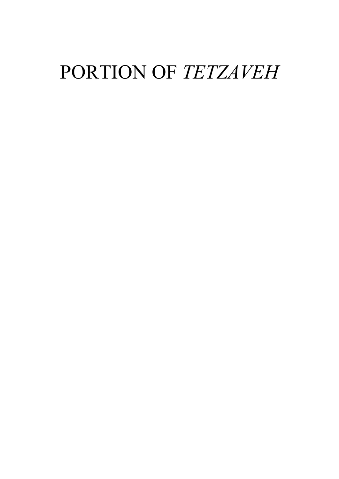# PORTION OF TETZAVEH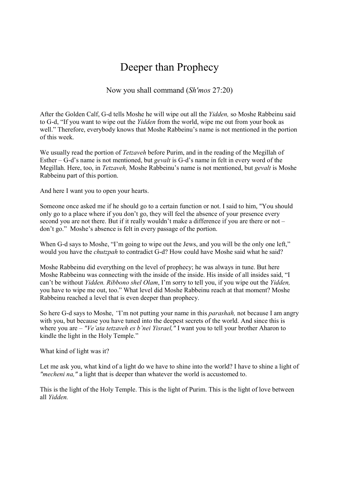## Deeper than Prophecy

Now you shall command (Sh'mos 27:20)

After the Golden Calf, G-d tells Moshe he will wipe out all the Yidden, so Moshe Rabbeinu said to G-d, "If you want to wipe out the Yidden from the world, wipe me out from your book as well." Therefore, everybody knows that Moshe Rabbeinu's name is not mentioned in the portion of this week.

We usually read the portion of *Tetzaveh* before Purim, and in the reading of the Megillah of Esther – G-d's name is not mentioned, but *gevalt* is G-d's name in felt in every word of the Megillah. Here, too, in Tetzaveh, Moshe Rabbeinu's name is not mentioned, but gevalt is Moshe Rabbeinu part of this portion.

And here I want you to open your hearts.

Someone once asked me if he should go to a certain function or not. I said to him, "You should only go to a place where if you don't go, they will feel the absence of your presence every second you are not there. But if it really wouldn't make a difference if you are there or not – don't go." Moshe's absence is felt in every passage of the portion.

When G-d says to Moshe, "I'm going to wipe out the Jews, and you will be the only one left," would you have the *chutzpah* to contradict G-d? How could have Moshe said what he said?

Moshe Rabbeinu did everything on the level of prophecy; he was always in tune. But here Moshe Rabbeinu was connecting with the inside of the inside. His inside of all insides said, "I can't be without Yidden. Ribbono shel Olam, I'm sorry to tell you, if you wipe out the Yidden, you have to wipe me out, too." What level did Moshe Rabbeinu reach at that moment? Moshe Rabbeinu reached a level that is even deeper than prophecy.

So here G-d says to Moshe, "I'm not putting your name in this parashah, not because I am angry with you, but because you have tuned into the deepest secrets of the world. And since this is where you are – "Ve'ata tetzaveh es b'nei Yisrael," I want you to tell your brother Aharon to kindle the light in the Holy Temple."

What kind of light was it?

Let me ask you, what kind of a light do we have to shine into the world? I have to shine a light of "mecheni na," a light that is deeper than whatever the world is accustomed to.

This is the light of the Holy Temple. This is the light of Purim. This is the light of love between all Yidden.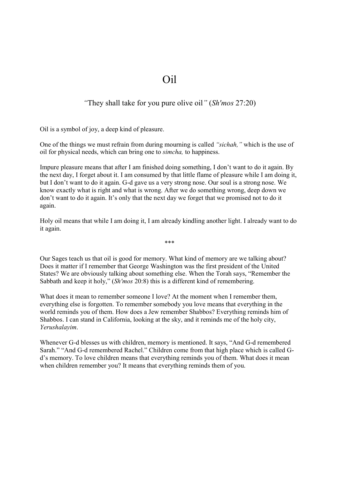### Oil

#### "They shall take for you pure olive oil" (Sh'mos 27:20)

Oil is a symbol of joy, a deep kind of pleasure.

One of the things we must refrain from during mourning is called "sichah," which is the use of oil for physical needs, which can bring one to simcha, to happiness.

Impure pleasure means that after I am finished doing something, I don't want to do it again. By the next day, I forget about it. I am consumed by that little flame of pleasure while I am doing it, but I don't want to do it again. G-d gave us a very strong nose. Our soul is a strong nose. We know exactly what is right and what is wrong. After we do something wrong, deep down we don't want to do it again. It's only that the next day we forget that we promised not to do it again.

Holy oil means that while I am doing it, I am already kindling another light. I already want to do it again.

\*\*\*

Our Sages teach us that oil is good for memory. What kind of memory are we talking about? Does it matter if I remember that George Washington was the first president of the United States? We are obviously talking about something else. When the Torah says, "Remember the Sabbath and keep it holy," (Sh'mos 20:8) this is a different kind of remembering.

What does it mean to remember someone I love? At the moment when I remember them, everything else is forgotten. To remember somebody you love means that everything in the world reminds you of them. How does a Jew remember Shabbos? Everything reminds him of Shabbos. I can stand in California, looking at the sky, and it reminds me of the holy city, Yerushalayim.

Whenever G-d blesses us with children, memory is mentioned. It says, "And G-d remembered Sarah." "And G-d remembered Rachel." Children come from that high place which is called Gd's memory. To love children means that everything reminds you of them. What does it mean when children remember you? It means that everything reminds them of you.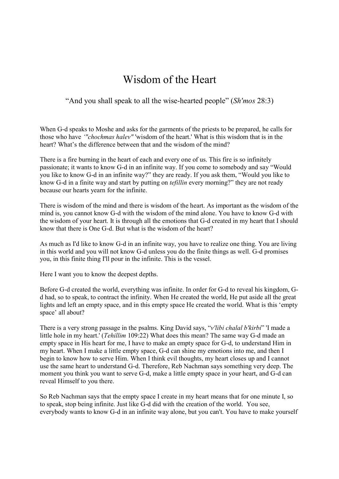## Wisdom of the Heart

#### "And you shall speak to all the wise-hearted people" (Sh'mos 28:3)

When G-d speaks to Moshe and asks for the garments of the priests to be prepared, he calls for those who have '"chochmas halev" 'wisdom of the heart.' What is this wisdom that is in the heart? What's the difference between that and the wisdom of the mind?

There is a fire burning in the heart of each and every one of us. This fire is so infinitely passionate; it wants to know G-d in an infinite way. If you come to somebody and say "Would you like to know G-d in an infinite way?" they are ready. If you ask them, "Would you like to know G-d in a finite way and start by putting on tefillin every morning?" they are not ready because our hearts yearn for the infinite.

There is wisdom of the mind and there is wisdom of the heart. As important as the wisdom of the mind is, you cannot know G-d with the wisdom of the mind alone. You have to know G-d with the wisdom of your heart. It is through all the emotions that G-d created in my heart that I should know that there is One G-d. But what is the wisdom of the heart?

As much as I'd like to know G-d in an infinite way, you have to realize one thing. You are living in this world and you will not know G-d unless you do the finite things as well. G-d promises you, in this finite thing I'll pour in the infinite. This is the vessel.

Here I want you to know the deepest depths.

Before G-d created the world, everything was infinite. In order for G-d to reveal his kingdom, Gd had, so to speak, to contract the infinity. When He created the world, He put aside all the great lights and left an empty space, and in this empty space He created the world. What is this 'empty space' all about?

There is a very strong passage in the psalms. King David says, "v'libi chalal b'kirbi" 'I made a little hole in my heart.' (Tehillim 109:22) What does this mean? The same way G-d made an empty space in His heart for me, I have to make an empty space for G-d, to understand Him in my heart. When I make a little empty space, G-d can shine my emotions into me, and then I begin to know how to serve Him. When I think evil thoughts, my heart closes up and I cannot use the same heart to understand G-d. Therefore, Reb Nachman says something very deep. The moment you think you want to serve G-d, make a little empty space in your heart, and G-d can reveal Himself to you there.

So Reb Nachman says that the empty space I create in my heart means that for one minute I, so to speak, stop being infinite. Just like G-d did with the creation of the world. You see, everybody wants to know G-d in an infinite way alone, but you can't. You have to make yourself